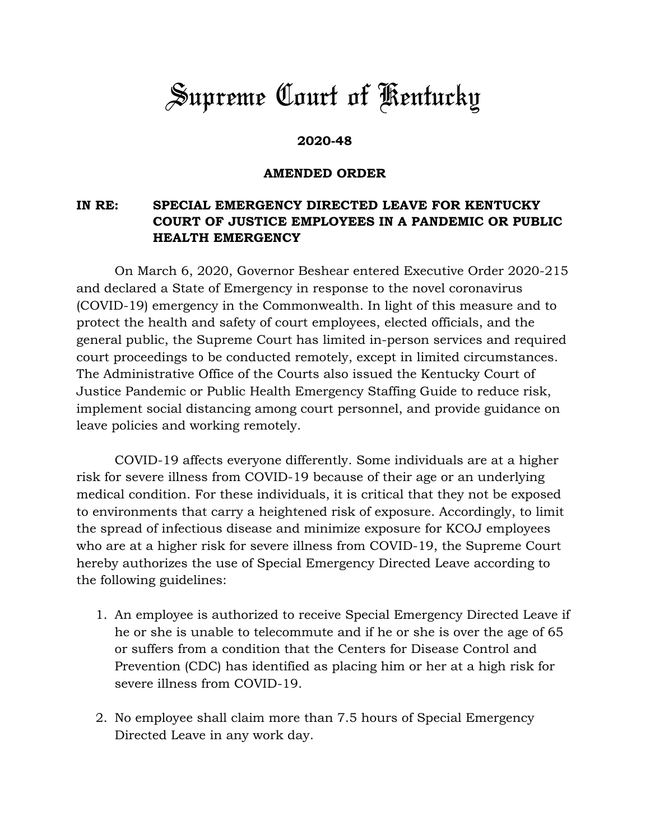## *Supreme Court of Kentucky*

## **2020-48**

## **AMENDED ORDER**

## **IN RE: SPECIAL EMERGENCY DIRECTED LEAVE FOR KENTUCKY COURT OF JUSTICE EMPLOYEES IN A PANDEMIC OR PUBLIC HEALTH EMERGENCY**

On March 6, 2020, Governor Beshear entered Executive Order 2020-215 and declared a State of Emergency in response to the novel coronavirus (COVID-19) emergency in the Commonwealth. In light of this measure and to protect the health and safety of court employees, elected officials, and the general public, the Supreme Court has limited in-person services and required court proceedings to be conducted remotely, except in limited circumstances. The Administrative Office of the Courts also issued the Kentucky Court of Justice Pandemic or Public Health Emergency Staffing Guide to reduce risk, implement social distancing among court personnel, and provide guidance on leave policies and working remotely.

COVID-19 affects everyone differently. Some individuals are at a higher risk for severe illness from COVID-19 because of their age or an underlying medical condition. For these individuals, it is critical that they not be exposed to environments that carry a heightened risk of exposure. Accordingly, to limit the spread of infectious disease and minimize exposure for KCOJ employees who are at a higher risk for severe illness from COVID-19, the Supreme Court hereby authorizes the use of Special Emergency Directed Leave according to the following guidelines:

- 1. An employee is authorized to receive Special Emergency Directed Leave if he or she is unable to telecommute and if he or she is over the age of 65 or suffers from a condition that the Centers for Disease Control and Prevention (CDC) has identified as placing him or her at a high risk for severe illness from COVID-19.
- 2. No employee shall claim more than 7.5 hours of Special Emergency Directed Leave in any work day.